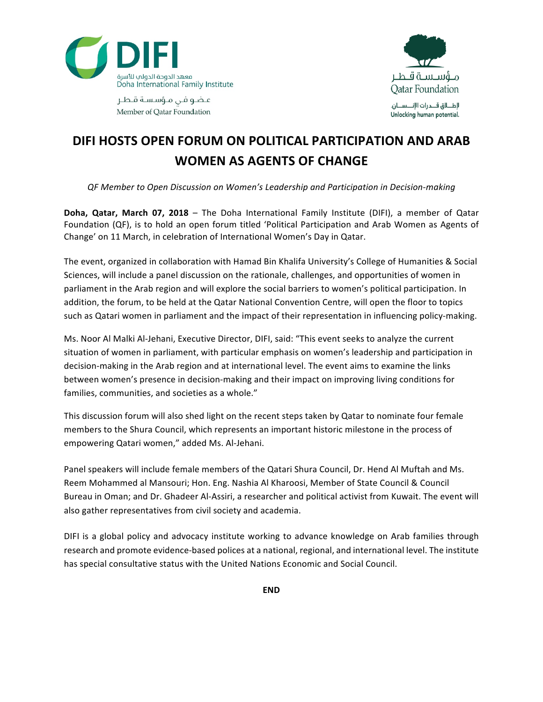



عاضو فن مؤسسة قاطع Member of Oatar Foundation

## **DIFI HOSTS OPEN FORUM ON POLITICAL PARTICIPATION AND ARAB WOMEN AS AGENTS OF CHANGE**

*QF Member to Open Discussion on Women's Leadership and Participation in Decision-making*

**Doha, Qatar, March 07, 2018** – The Doha International Family Institute (DIFI), a member of Qatar Foundation (QF), is to hold an open forum titled 'Political Participation and Arab Women as Agents of Change' on 11 March, in celebration of International Women's Day in Qatar.

The event, organized in collaboration with Hamad Bin Khalifa University's College of Humanities & Social Sciences, will include a panel discussion on the rationale, challenges, and opportunities of women in parliament in the Arab region and will explore the social barriers to women's political participation. In addition, the forum, to be held at the Qatar National Convention Centre, will open the floor to topics such as Qatari women in parliament and the impact of their representation in influencing policy-making.

Ms. Noor Al Malki Al-Jehani, Executive Director, DIFI, said: "This event seeks to analyze the current situation of women in parliament, with particular emphasis on women's leadership and participation in decision-making in the Arab region and at international level. The event aims to examine the links between women's presence in decision-making and their impact on improving living conditions for families, communities, and societies as a whole."

This discussion forum will also shed light on the recent steps taken by Qatar to nominate four female members to the Shura Council, which represents an important historic milestone in the process of empowering Qatari women," added Ms. Al-Jehani.

Panel speakers will include female members of the Qatari Shura Council, Dr. Hend Al Muftah and Ms. Reem Mohammed al Mansouri; Hon. Eng. Nashia Al Kharoosi, Member of State Council & Council Bureau in Oman; and Dr. Ghadeer Al-Assiri, a researcher and political activist from Kuwait. The event will also gather representatives from civil society and academia.

DIFI is a global policy and advocacy institute working to advance knowledge on Arab families through research and promote evidence-based polices at a national, regional, and international level. The institute has special consultative status with the United Nations Economic and Social Council.